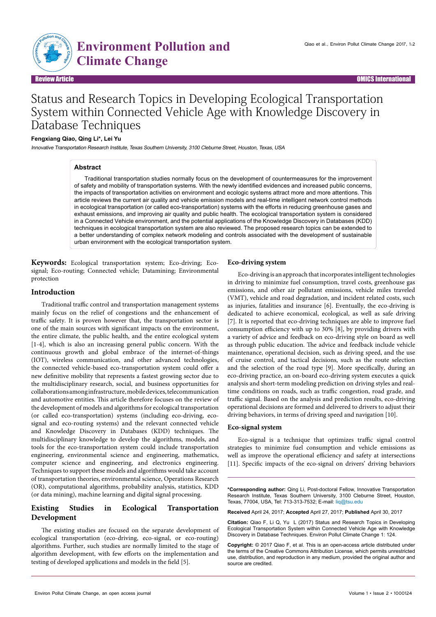

# Status and Research Topics in Developing Ecological Transportation System within Connected Vehicle Age with Knowledge Discovery in Database Techniques

## **Fengxiang Qiao, Qing Li\*, Lei Yu**

Innovative Transportation Research Institute, Texas Southern University, 3100 Cleburne Street, Houston, Texas, USA

## **Abstract**

Traditional transportation studies normally focus on the development of countermeasures for the improvement of safety and mobility of transportation systems. With the newly identified evidences and increased public concerns, the impacts of transportation activities on environment and ecologic systems attract more and more attentions. This article reviews the current air quality and vehicle emission models and real-time intelligent network control methods in ecological transportation (or called eco-transportation) systems with the efforts in reducing greenhouse gases and exhaust emissions, and improving air quality and public health. The ecological transportation system is considered in a Connected Vehicle environment, and the potential applications of the Knowledge Discovery in Databases (KDD) techniques in ecological transportation system are also reviewed. The proposed research topics can be extended to a better understanding of complex network modeling and controls associated with the development of sustainable urban environment with the ecological transportation system.

**Keywords:** Ecological transportation system; Eco-driving; Ecosignal; Eco-routing; Connected vehicle; Datamining; Environmental protection

## **Introduction**

Traditional traffic control and transportation management systems mainly focus on the relief of congestions and the enhancement of traffic safety. It is proven however that, the transportation sector is one of the main sources with significant impacts on the environment, the entire climate, the public health, and the entire ecological system [1-4], which is also an increasing general public concern. With the continuous growth and global embrace of the internet-of-things (IOT), wireless communication, and other advanced technologies, the connected vehicle-based eco-transportation system could offer a new definitive mobility that represents a fastest growing sector due to the multidisciplinary research, social, and business opportunities for collaborations among infrastructure, mobile devices, telecommunication and automotive entities. This article therefore focuses on the review of the development of models and algorithms for ecological transportation (or called eco-transportation) systems (including eco-driving, ecosignal and eco-routing systems) and the relevant connected vehicle and Knowledge Discovery in Databases (KDD) techniques. The multidisciplinary knowledge to develop the algorithms, models, and tools for the eco-transportation system could include transportation engineering, environmental science and engineering, mathematics, computer science and engineering, and electronics engineering. Techniques to support these models and algorithms would take account of transportation theories, environmental science, Operations Research (OR), computational algorithms, probability analysis, statistics, KDD (or data mining), machine learning and digital signal processing.

# **Existing Studies in Ecological Transportation Development**

The existing studies are focused on the separate development of ecological transportation (eco-driving, eco-signal, or eco-routing) algorithms. Further, such studies are normally limited to the stage of algorithm development, with few efforts on the implementation and testing of developed applications and models in the field [5].

#### **Eco-driving system**

Eco-driving is an approach that incorporates intelligent technologies in driving to minimize fuel consumption, travel costs, greenhouse gas emissions, and other air pollutant emissions, vehicle miles traveled (VMT), vehicle and road degradation, and incident related costs, such as injuries, fatalities and insurance [6]. Eventually, the eco-driving is dedicated to achieve economical, ecological, as well as safe driving [7]. It is reported that eco-driving techniques are able to improve fuel consumption efficiency with up to 30% [8], by providing drivers with a variety of advice and feedback on eco-driving style on board as well as through public education. The advice and feedback include vehicle maintenance, operational decision, such as driving speed, and the use of cruise control, and tactical decisions, such as the route selection and the selection of the road type [9]. More specifically, during an eco-driving practice, an on-board eco-driving system executes a quick analysis and short-term modeling prediction on driving styles and realtime conditions on roads, such as traffic congestion, road grade, and traffic signal. Based on the analysis and prediction results, eco-driving operational decisions are formed and delivered to drivers to adjust their driving behaviors, in terms of driving speed and navigation [10].

## **Eco-signal system**

Eco-signal is a technique that optimizes traffic signal control strategies to minimize fuel consumption and vehicle emissions as well as improve the operational efficiency and safety at intersections [11]. Specific impacts of the eco-signal on drivers' driving behaviors

**\*Corresponding author:** Qing Li, Post-doctoral Fellow, Innovative Transportation Research Institute, Texas Southern University, 3100 Cleburne Street, Houston, Texas, 77004, USA, Tel: 713-313-7532; E-mail: liq@tsu.edu

**Received** April 24, 2017; **Accepted** April 27, 2017; **Published** April 30, 2017

**Citation:** Qiao F, Li Q, Yu L (2017) Status and Research Topics in Developing Ecological Transportation System within Connected Vehicle Age with Knowledge Discovery in Database Techniques. Environ Pollut Climate Change 1: 124.

**Copyright:** © 2017 Qiao F, et al. This is an open-access article distributed under the terms of the Creative Commons Attribution License, which permits unrestricted use, distribution, and reproduction in any medium, provided the original author and source are credited.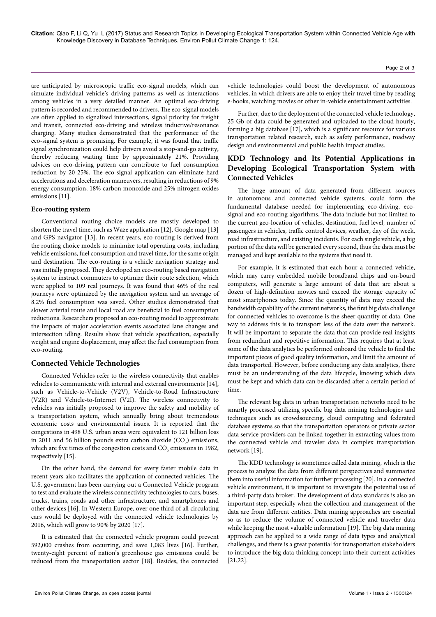**Citation:** Qiao F, Li Q, Yu L (2017) Status and Research Topics in Developing Ecological Transportation System within Connected Vehicle Age with Knowledge Discovery in Database Techniques. Environ Pollut Climate Change 1: 124.

are anticipated by microscopic traffic eco-signal models, which can simulate individual vehicle's driving patterns as well as interactions among vehicles in a very detailed manner. An optimal eco-driving pattern is recorded and recommended to drivers. The eco-signal models are often applied to signalized intersections, signal priority for freight and transit, connected eco-driving and wireless inductive/resonance charging. Many studies demonstrated that the performance of the eco-signal system is promising. For example, it was found that traffic signal synchronization could help drivers avoid a stop-and-go activity, thereby reducing waiting time by approximately 21%. Providing advices on eco-driving pattern can contribute to fuel consumption reduction by 20-25%. The eco-signal application can eliminate hard accelerations and deceleration maneuvers, resulting in reductions of 9% energy consumption, 18% carbon monoxide and 25% nitrogen oxides emissions [11].

#### **Eco-routing system**

Conventional routing choice models are mostly developed to shorten the travel time, such as Waze application [12], Google map [13] and GPS navigator [13]. In recent years, eco-routing is derived from the routing choice models to minimize total operating costs, including vehicle emissions, fuel consumption and travel time, for the same origin and destination. The eco-routing is a vehicle navigation strategy and was initially proposed. They developed an eco-routing based navigation system to instruct commuters to optimize their route selection, which were applied to 109 real journeys. It was found that 46% of the real journeys were optimized by the navigation system and an average of 8.2% fuel consumption was saved. Other studies demonstrated that slower arterial route and local road are beneficial to fuel consumption reductions. Researchers proposed an eco-routing model to approximate the impacts of major acceleration events associated lane changes and intersection idling. Results show that vehicle specification, especially weight and engine displacement, may affect the fuel consumption from eco-routing.

## **Connected Vehicle Technologies**

Connected Vehicles refer to the wireless connectivity that enables vehicles to communicate with internal and external environments [14], such as Vehicle-to-Vehicle (V2V), Vehicle-to-Road Infrastructure (V2R) and Vehicle-to-Internet (V2I). The wireless connectivity to vehicles was initially proposed to improve the safety and mobility of a transportation system, which annually bring about tremendous economic costs and environmental issues. It is reported that the congestions in 498 U.S. urban areas were equivalent to 121 billion loss in 2011 and 56 billion pounds extra carbon dioxide  $(CO_2)$  emissions, which are five times of the congestion costs and  $\mathrm{CO}_2$  emissions in 1982, respectively [15].

On the other hand, the demand for every faster mobile data in recent years also facilitates the application of connected vehicles. The U.S. government has been carrying out a Connected Vehicle program to test and evaluate the wireless connectivity technologies to cars, buses, trucks, trains, roads and other infrastructure, and smartphones and other devices [16]. In Western Europe, over one third of all circulating cars would be deployed with the connected vehicle technologies by 2016, which will grow to 90% by 2020 [17].

It is estimated that the connected vehicle program could prevent 592,000 crashes from occurring, and save 1,083 lives [16]. Further, twenty-eight percent of nation's greenhouse gas emissions could be reduced from the transportation sector [18]. Besides, the connected vehicle technologies could boost the development of autonomous vehicles, in which drivers are able to enjoy their travel time by reading e-books, watching movies or other in-vehicle entertainment activities.

Further, due to the deployment of the connected vehicle technology, 25 Gb of data could be generated and uploaded to the cloud hourly, forming a big database [17], which is a significant resource for various transportation related research, such as safety performance, roadway design and environmental and public health impact studies.

# **KDD Technology and Its Potential Applications in Developing Ecological Transportation System with Connected Vehicles**

The huge amount of data generated from different sources in autonomous and connected vehicle systems, could form the fundamental database needed for implementing eco-driving, ecosignal and eco-routing algorithms. The data include but not limited to the current geo-location of vehicles, destination, fuel level, number of passengers in vehicles, traffic control devices, weather, day of the week, road infrastructure, and existing incidents. For each single vehicle, a big portion of the data will be generated every second, thus the data must be managed and kept available to the systems that need it.

For example, it is estimated that each hour a connected vehicle, which may carry embedded mobile broadband chips and on-board computers, will generate a large amount of data that are about a dozen of high-definition movies and exceed the storage capacity of most smartphones today. Since the quantity of data may exceed the bandwidth capability of the current networks, the first big data challenge for connected vehicles to overcome is the sheer quantity of data. One way to address this is to transport less of the data over the network. It will be important to separate the data that can provide real insights from redundant and repetitive information. This requires that at least some of the data analytics be performed onboard the vehicle to find the important pieces of good quality information, and limit the amount of data transported. However, before conducting any data analytics, there must be an understanding of the data lifecycle, knowing which data must be kept and which data can be discarded after a certain period of time.

The relevant big data in urban transportation networks need to be smartly processed utilizing specific big data mining technologies and techniques such as crowdsourcing, cloud computing and federated database systems so that the transportation operators or private sector data service providers can be linked together in extracting values from the connected vehicle and traveler data in complex transportation network [19].

The KDD technology is sometimes called data mining, which is the process to analyze the data from different perspectives and summarize them into useful information for further processing [20]. In a connected vehicle environment, it is important to investigate the potential use of a third-party data broker. The development of data standards is also an important step, especially when the collection and management of the data are from different entities. Data mining approaches are essential so as to reduce the volume of connected vehicle and traveler data while keeping the most valuable information [19]. The big data mining approach can be applied to a wide range of data types and analytical challenges, and there is a great potential for transportation stakeholders to introduce the big data thinking concept into their current activities [21,22].